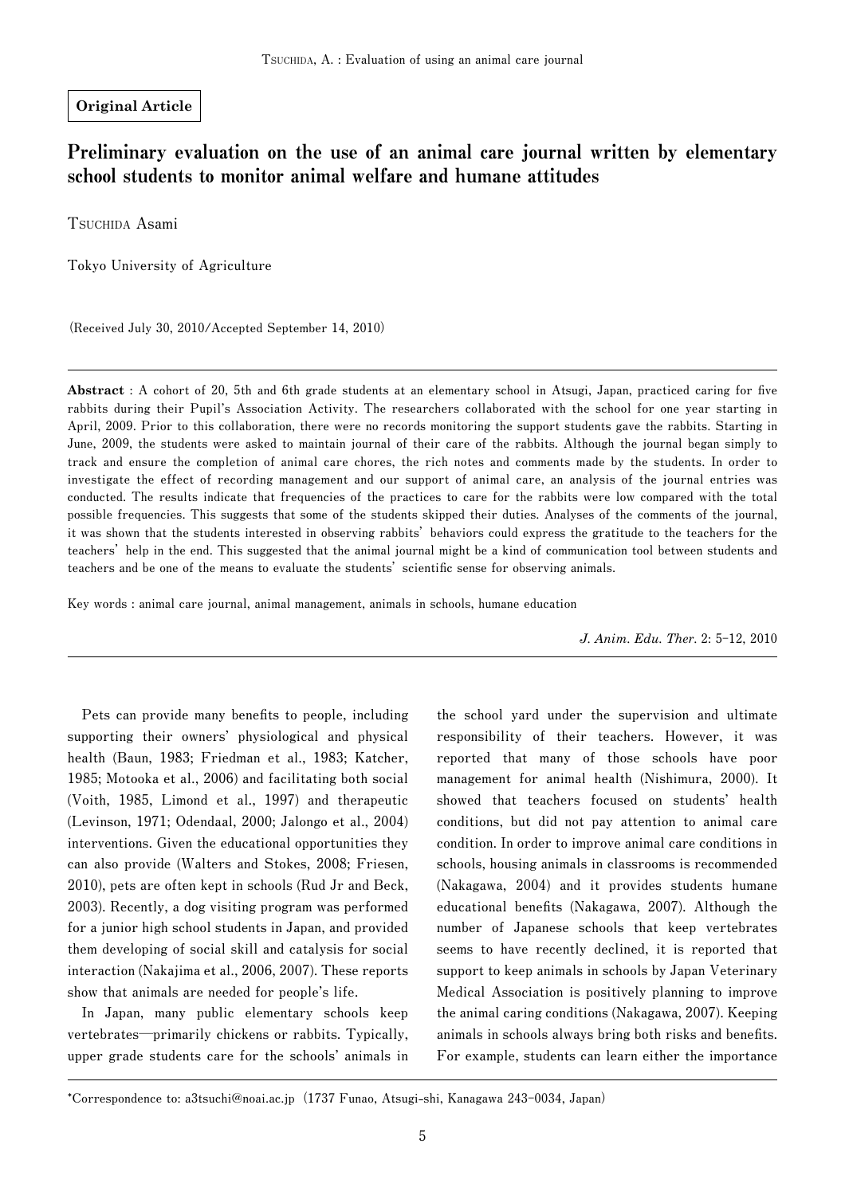### **Original Article**

# Preliminary evaluation on the use of an animal care journal written by elementary school students to monitor animal welfare and humane attitudes

**TSUCHIDA Asami**

**Tokyo University of Agriculture**

**(Received July 30, 2010/Accepted September 14, 2010)**

**Abstract** : A cohort of 20, 5th and 6th grade students at an elementary school in Atsugi, Japan, practiced caring for five **rabbits during their Pupil's Association Activity. The researchers collaborated with the school for one year starting in April, 2009. Prior to this collaboration, there were no records monitoring the support students gave the rabbits. Starting in June, 2009, the students were asked to maintain journal of their care of the rabbits. Although the journal began simply to track and ensure the completion of animal care chores, the rich notes and comments made by the students. In order to investigate the effect of recording management and our support of animal care, an analysis of the journal entries was conducted. The results indicate that frequencies of the practices to care for the rabbits were low compared with the total possible frequencies. This suggests that some of the students skipped their duties. Analyses of the comments of the journal, it was shown that the students interested in observing rabbits' behaviors could express the gratitude to the teachers for the teachers' help in the end. This suggested that the animal journal might be a kind of communication tool between students and**  teachers and be one of the means to evaluate the students' scientific sense for observing animals.

**Key words : animal care journal, animal management, animals in schools, humane education**

*J. Anim. Edu. Ther.* **2: 5-12, 2010** 

Pets can provide many benefits to people, including **supporting their owners' physiological and physical health (Baun, 1983; Friedman et al., 1983; Katcher, 1985; Motooka et al., 2006) and facilitating both social (Voith, 1985, Limond et al., 1997) and therapeutic (Levinson, 1971; Odendaal, 2000; Jalongo et al., 2004) interventions. Given the educational opportunities they can also provide (Walters and Stokes, 2008; Friesen, 2010), pets are often kept in schools (Rud Jr and Beck, 2003). Recently, a dog visiting program was performed for a junior high school students in Japan, and provided them developing of social skill and catalysis for social interaction (Nakajima et al., 2006, 2007). These reports show that animals are needed for people's life.**

**In Japan, many public elementary schools keep vertebrates─primarily chickens or rabbits. Typically, upper grade students care for the schools' animals in**  **the school yard under the supervision and ultimate responsibility of their teachers. However, it was reported that many of those schools have poor management for animal health (Nishimura, 2000). It showed that teachers focused on students' health conditions, but did not pay attention to animal care condition. In order to improve animal care conditions in schools, housing animals in classrooms is recommended (Nakagawa, 2004) and it provides students humane**  educational benefits (Nakagawa, 2007). Although the **number of Japanese schools that keep vertebrates seems to have recently declined, it is reported that support to keep animals in schools by Japan Veterinary Medical Association is positively planning to improve the animal caring conditions (Nakagawa, 2007). Keeping**  animals in schools always bring both risks and benefits. **For example, students can learn either the importance** 

**<sup>\*</sup>Correspondence to: a3tsuchi@noai.ac.jp(1737 Funao, Atsugi-shi, Kanagawa 243-0034, Japan)**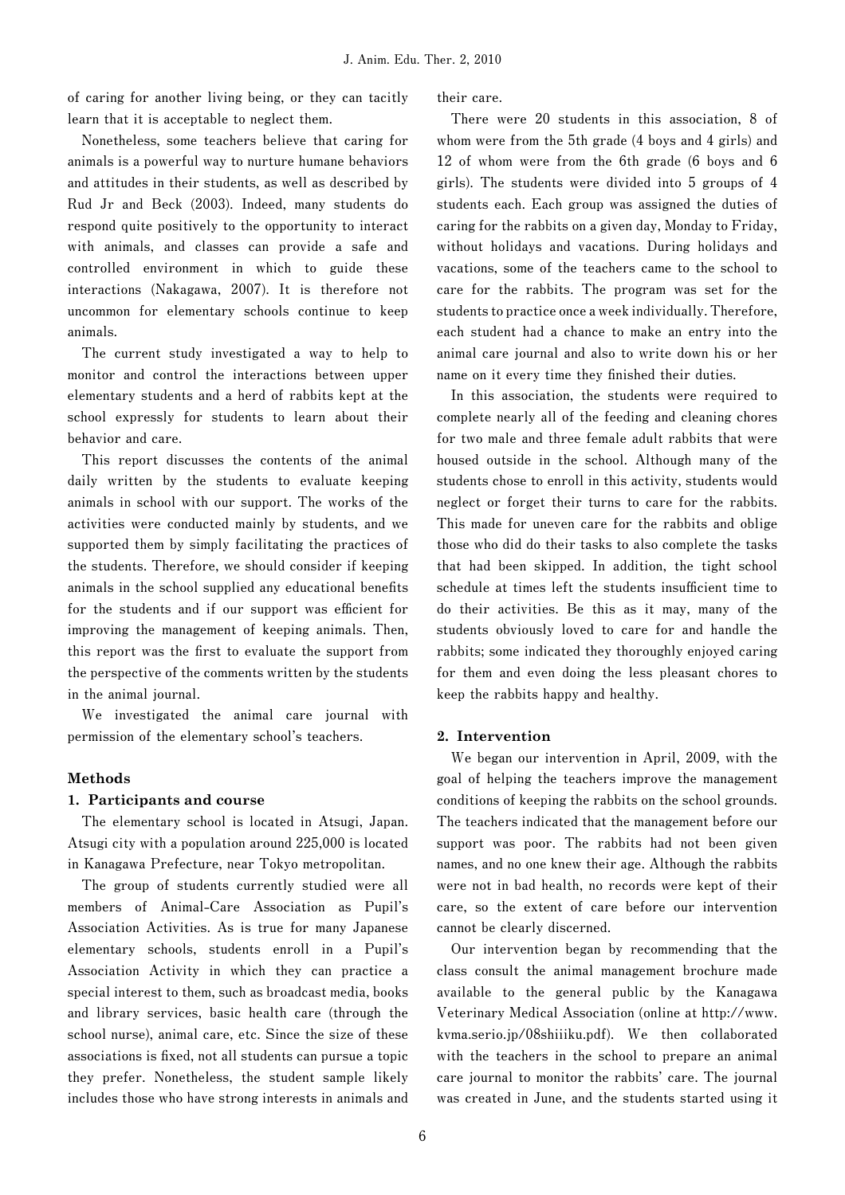**of caring for another living being, or they can tacitly learn that it is acceptable to neglect them.**

**Nonetheless, some teachers believe that caring for animals is a powerful way to nurture humane behaviors and attitudes in their students, as well as described by Rud Jr and Beck (2003). Indeed, many students do respond quite positively to the opportunity to interact with animals, and classes can provide a safe and controlled environment in which to guide these interactions (Nakagawa, 2007). It is therefore not uncommon for elementary schools continue to keep animals.**

**The current study investigated a way to help to monitor and control the interactions between upper elementary students and a herd of rabbits kept at the school expressly for students to learn about their behavior and care.**

**This report discusses the contents of the animal daily written by the students to evaluate keeping animals in school with our support. The works of the activities were conducted mainly by students, and we supported them by simply facilitating the practices of the students. Therefore, we should consider if keeping**  animals in the school supplied any educational benefits for the students and if our support was efficient for **improving the management of keeping animals. Then,**  this report was the first to evaluate the support from **the perspective of the comments written by the students in the animal journal.** 

**We investigated the animal care journal with permission of the elementary school's teachers.** 

#### **Methods**

### **1. Participants and course**

**The elementary school is located in Atsugi, Japan. Atsugi city with a population around 225,000 is located in Kanagawa Prefecture, near Tokyo metropolitan.**

**The group of students currently studied were all members of Animal-Care Association as Pupil's Association Activities. As is true for many Japanese elementary schools, students enroll in a Pupil's Association Activity in which they can practice a special interest to them, such as broadcast media, books and library services, basic health care (through the school nurse), animal care, etc. Since the size of these**  associations is fixed, not all students can pursue a topic **they prefer. Nonetheless, the student sample likely includes those who have strong interests in animals and**  **their care.**

**There were 20 students in this association, 8 of whom were from the 5th grade (4 boys and 4 girls) and 12 of whom were from the 6th grade (6 boys and 6 girls). The students were divided into 5 groups of 4 students each. Each group was assigned the duties of caring for the rabbits on a given day, Monday to Friday, without holidays and vacations. During holidays and vacations, some of the teachers came to the school to care for the rabbits. The program was set for the students to practice once a week individually. Therefore, each student had a chance to make an entry into the animal care journal and also to write down his or her**  name on it every time they finished their duties.

**In this association, the students were required to complete nearly all of the feeding and cleaning chores for two male and three female adult rabbits that were housed outside in the school. Although many of the students chose to enroll in this activity, students would neglect or forget their turns to care for the rabbits. This made for uneven care for the rabbits and oblige those who did do their tasks to also complete the tasks that had been skipped. In addition, the tight school**  schedule at times left the students insufficient time to **do their activities. Be this as it may, many of the students obviously loved to care for and handle the rabbits; some indicated they thoroughly enjoyed caring for them and even doing the less pleasant chores to keep the rabbits happy and healthy.** 

### **2. Intervention**

**We began our intervention in April, 2009, with the goal of helping the teachers improve the management conditions of keeping the rabbits on the school grounds. The teachers indicated that the management before our support was poor. The rabbits had not been given names, and no one knew their age. Although the rabbits were not in bad health, no records were kept of their care, so the extent of care before our intervention cannot be clearly discerned.**

**Our intervention began by recommending that the class consult the animal management brochure made available to the general public by the Kanagawa Veterinary Medical Association (online at http://www. kvma.serio.jp/08shiiiku.pdf). We then collaborated with the teachers in the school to prepare an animal care journal to monitor the rabbits' care. The journal was created in June, and the students started using it**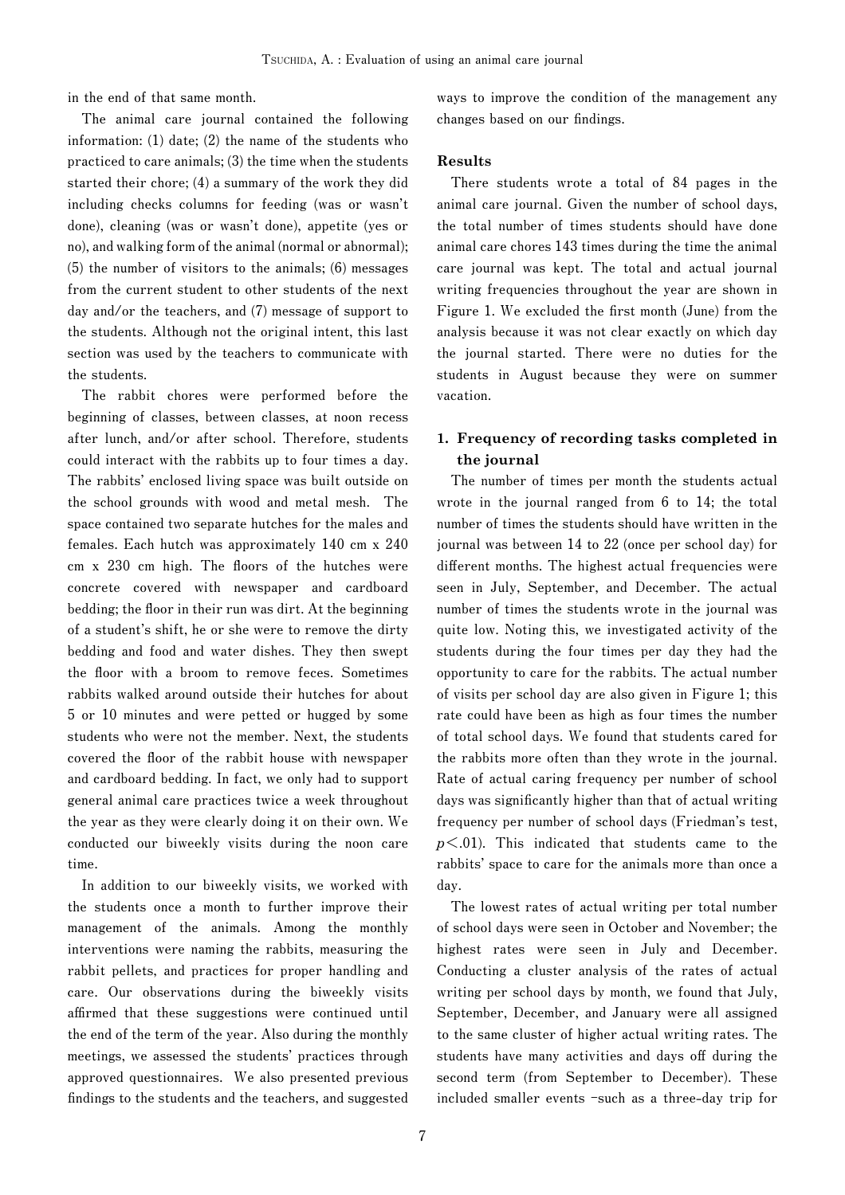**in the end of that same month.**

**The animal care journal contained the following information: (1) date; (2) the name of the students who practiced to care animals; (3) the time when the students started their chore; (4) a summary of the work they did including checks columns for feeding (was or wasn't done), cleaning (was or wasn't done), appetite (yes or no), and walking form of the animal (normal or abnormal); (5) the number of visitors to the animals; (6) messages from the current student to other students of the next day and/or the teachers, and (7) message of support to the students. Although not the original intent, this last section was used by the teachers to communicate with the students.**

**The rabbit chores were performed before the beginning of classes, between classes, at noon recess after lunch, and/or after school. Therefore, students could interact with the rabbits up to four times a day. The rabbits' enclosed living space was built outside on the school grounds with wood and metal mesh. The space contained two separate hutches for the males and females. Each hutch was approximately 140 cm x 240**  cm x 230 cm high. The floors of the hutches were **concrete covered with newspaper and cardboard**  bedding; the floor in their run was dirt. At the beginning **of a student's shift, he or she were to remove the dirty bedding and food and water dishes. They then swept the fl oor with a broom to remove feces. Sometimes rabbits walked around outside their hutches for about 5 or 10 minutes and were petted or hugged by some students who were not the member. Next, the students**  covered the floor of the rabbit house with newspaper **and cardboard bedding. In fact, we only had to support general animal care practices twice a week throughout the year as they were clearly doing it on their own. We conducted our biweekly visits during the noon care time.**

**In addition to our biweekly visits, we worked with the students once a month to further improve their management of the animals. Among the monthly interventions were naming the rabbits, measuring the rabbit pellets, and practices for proper handling and care. Our observations during the biweekly visits**  affirmed that these suggestions were continued until **the end of the term of the year. Also during the monthly meetings, we assessed the students' practices through approved questionnaires. We also presented previous**  findings to the students and the teachers, and suggested **ways to improve the condition of the management any**  changes based on our findings.

#### **Results**

**There students wrote a total of 84 pages in the animal care journal. Given the number of school days, the total number of times students should have done animal care chores 143 times during the time the animal care journal was kept. The total and actual journal writing frequencies throughout the year are shown in**  Figure 1. We excluded the first month (June) from the **analysis because it was not clear exactly on which day the journal started. There were no duties for the students in August because they were on summer vacation.**

## **1. Frequency of recording tasks completed in the journal**

**The number of times per month the students actual wrote in the journal ranged from 6 to 14; the total number of times the students should have written in the journal was between 14 to 22 (once per school day) for diff erent months. The highest actual frequencies were seen in July, September, and December. The actual number of times the students wrote in the journal was quite low. Noting this, we investigated activity of the students during the four times per day they had the opportunity to care for the rabbits. The actual number of visits per school day are also given in Figure 1; this rate could have been as high as four times the number of total school days. We found that students cared for the rabbits more often than they wrote in the journal. Rate of actual caring frequency per number of school**  days was significantly higher than that of actual writing **frequency per number of school days (Friedman's test,**  *p***<.01). This indicated that students came to the rabbits' space to care for the animals more than once a day.**

**The lowest rates of actual writing per total number of school days were seen in October and November; the highest rates were seen in July and December. Conducting a cluster analysis of the rates of actual writing per school days by month, we found that July, September, December, and January were all assigned to the same cluster of higher actual writing rates. The students have many activities and days off during the second term (from September to December). These included smaller events -such as a three-day trip for**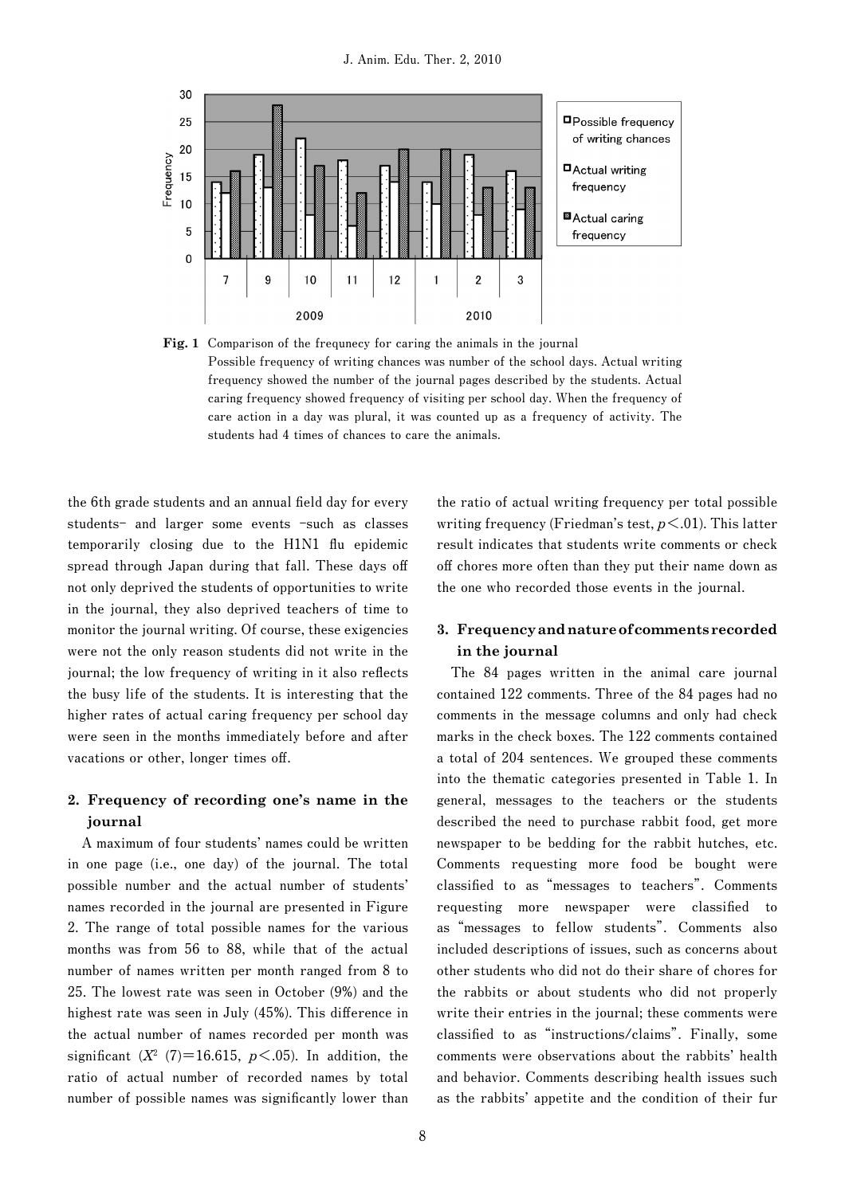

**Fig. 1 Comparison of the frequnecy for caring the animals in the journal Possible frequency of writing chances was number of the school days. Actual writing frequency showed the number of the journal pages described by the students. Actual caring frequency showed frequency of visiting per school day. When the frequency of care action in a day was plural, it was counted up as a frequency of activity. The students had 4 times of chances to care the animals.** 

the 6th grade students and an annual field day for every **students- and larger some events -such as classes**  temporarily closing due to the H1N1 flu epidemic **spread through Japan during that fall. These days off not only deprived the students of opportunities to write in the journal, they also deprived teachers of time to monitor the journal writing. Of course, these exigencies were not the only reason students did not write in the**  journal; the low frequency of writing in it also reflects **the busy life of the students. It is interesting that the higher rates of actual caring frequency per school day were seen in the months immediately before and after**  vacations or other, longer times off.

# **2. Frequency of recording one's name in the journal**

**A maximum of four students' names could be written in one page (i.e., one day) of the journal. The total possible number and the actual number of students' names recorded in the journal are presented in Figure 2. The range of total possible names for the various months was from 56 to 88, while that of the actual number of names written per month ranged from 8 to 25. The lowest rate was seen in October (9%) and the**  highest rate was seen in July (45%). This difference in **the actual number of names recorded per month was**  significant  $(X^2 \t(7) = 16.615, p < .05)$ . In addition, the **ratio of actual number of recorded names by total**  number of possible names was significantly lower than

**the ratio of actual writing frequency per total possible writing frequency (Friedman's test,** *p***<.01). This latter result indicates that students write comments or check off chores more often than they put their name down as the one who recorded those events in the journal.** 

# **3. Frequency and nature of comments recorded in the journal**

**The 84 pages written in the animal care journal contained 122 comments. Three of the 84 pages had no comments in the message columns and only had check marks in the check boxes. The 122 comments contained a total of 204 sentences. We grouped these comments into the thematic categories presented in Table 1. In general, messages to the teachers or the students described the need to purchase rabbit food, get more newspaper to be bedding for the rabbit hutches, etc. Comments requesting more food be bought were classifi ed to as"messages to teachers". Comments**  requesting more newspaper were classified to **as"messages to fellow students". Comments also included descriptions of issues, such as concerns about other students who did not do their share of chores for the rabbits or about students who did not properly write their entries in the journal; these comments were classifi ed to as"instructions/claims". Finally, some comments were observations about the rabbits' health and behavior. Comments describing health issues such as the rabbits' appetite and the condition of their fur**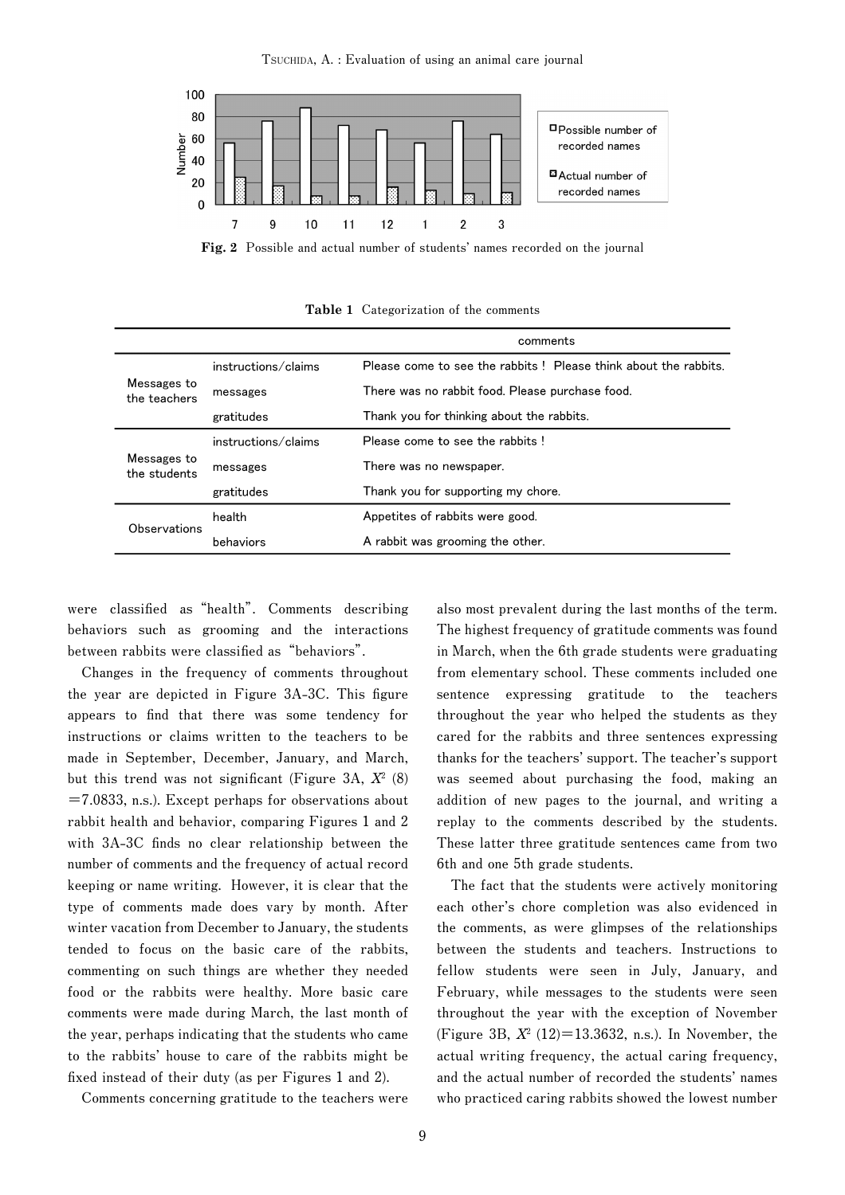**TSUCHIDA, A. : Evaluation of using an animal care journal**



**Fig. 2 Possible and actual number of students' names recorded on the journal**

|                             |                     | comments                                                        |
|-----------------------------|---------------------|-----------------------------------------------------------------|
| Messages to<br>the teachers | instructions/claims | Please come to see the rabbits! Please think about the rabbits. |
|                             | messages            | There was no rabbit food. Please purchase food.                 |
|                             | gratitudes          | Thank you for thinking about the rabbits.                       |
| Messages to<br>the students | instructions/claims | Please come to see the rabbits!                                 |
|                             | messages            | There was no newspaper.                                         |
|                             | gratitudes          | Thank you for supporting my chore.                              |
| Observations                | health              | Appetites of rabbits were good.                                 |
|                             | behaviors           | A rabbit was grooming the other.                                |

**Table 1 Categorization of the comments**

were classified as "health". Comments describing **behaviors such as grooming and the interactions**  between rabbits were classified as "behaviors".

**Changes in the frequency of comments throughout**  the year are depicted in Figure 3A-3C. This figure appears to find that there was some tendency for **instructions or claims written to the teachers to be made in September, December, January, and March,**  but this trend was not significant (Figure 3A,  $X^2$   $(8)$ **=7.0833, n.s.). Except perhaps for observations about rabbit health and behavior, comparing Figures 1 and 2**  with 3A-3C finds no clear relationship between the **number of comments and the frequency of actual record keeping or name writing. However, it is clear that the type of comments made does vary by month. After winter vacation from December to January, the students tended to focus on the basic care of the rabbits, commenting on such things are whether they needed food or the rabbits were healthy. More basic care comments were made during March, the last month of the year, perhaps indicating that the students who came to the rabbits' house to care of the rabbits might be**  fixed instead of their duty (as per Figures 1 and 2).

**Comments concerning gratitude to the teachers were** 

**also most prevalent during the last months of the term. The highest frequency of gratitude comments was found in March, when the 6th grade students were graduating from elementary school. These comments included one sentence expressing gratitude to the teachers throughout the year who helped the students as they cared for the rabbits and three sentences expressing thanks for the teachers' support. The teacher's support was seemed about purchasing the food, making an addition of new pages to the journal, and writing a replay to the comments described by the students. These latter three gratitude sentences came from two 6th and one 5th grade students.**

**The fact that the students were actively monitoring each other's chore completion was also evidenced in the comments, as were glimpses of the relationships between the students and teachers. Instructions to fellow students were seen in July, January, and February, while messages to the students were seen throughout the year with the exception of November (Figure 3B,** *X***<sup>2</sup> (12)=13.3632, n.s.). In November, the actual writing frequency, the actual caring frequency, and the actual number of recorded the students' names who practiced caring rabbits showed the lowest number**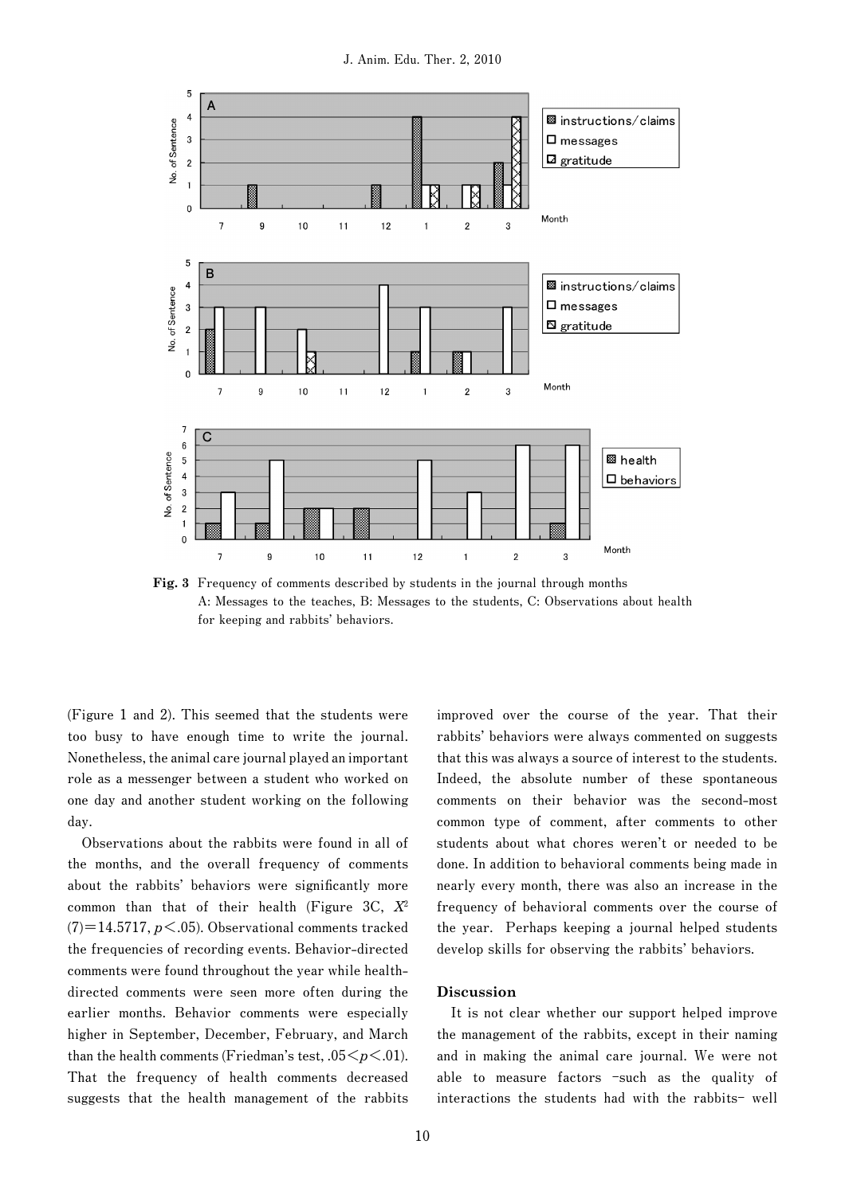

**Fig. 3 Frequency of comments described by students in the journal through months A: Messages to the teaches, B: Messages to the students, C: Observations about health for keeping and rabbits' behaviors.** 

**(Figure 1 and 2). This seemed that the students were too busy to have enough time to write the journal. Nonetheless, the animal care journal played an important role as a messenger between a student who worked on one day and another student working on the following day.**

**Observations about the rabbits were found in all of the months, and the overall frequency of comments**  about the rabbits' behaviors were significantly more **common than that of their health (Figure 3C,** *X***<sup>2</sup> (7)=14.5717,** *p***<.05). Observational comments tracked the frequencies of recording events. Behavior-directed comments were found throughout the year while healthdirected comments were seen more often during the earlier months. Behavior comments were especially higher in September, December, February, and March**  than the health comments (Friedman's test,  $.05 \leq p \leq .01$ ). **That the frequency of health comments decreased suggests that the health management of the rabbits**  **improved over the course of the year. That their rabbits' behaviors were always commented on suggests that this was always a source of interest to the students. Indeed, the absolute number of these spontaneous comments on their behavior was the second-most common type of comment, after comments to other students about what chores weren't or needed to be done. In addition to behavioral comments being made in nearly every month, there was also an increase in the frequency of behavioral comments over the course of the year. Perhaps keeping a journal helped students develop skills for observing the rabbits' behaviors.**

#### **Discussion**

**It is not clear whether our support helped improve the management of the rabbits, except in their naming and in making the animal care journal. We were not able to measure factors -such as the quality of interactions the students had with the rabbits- well**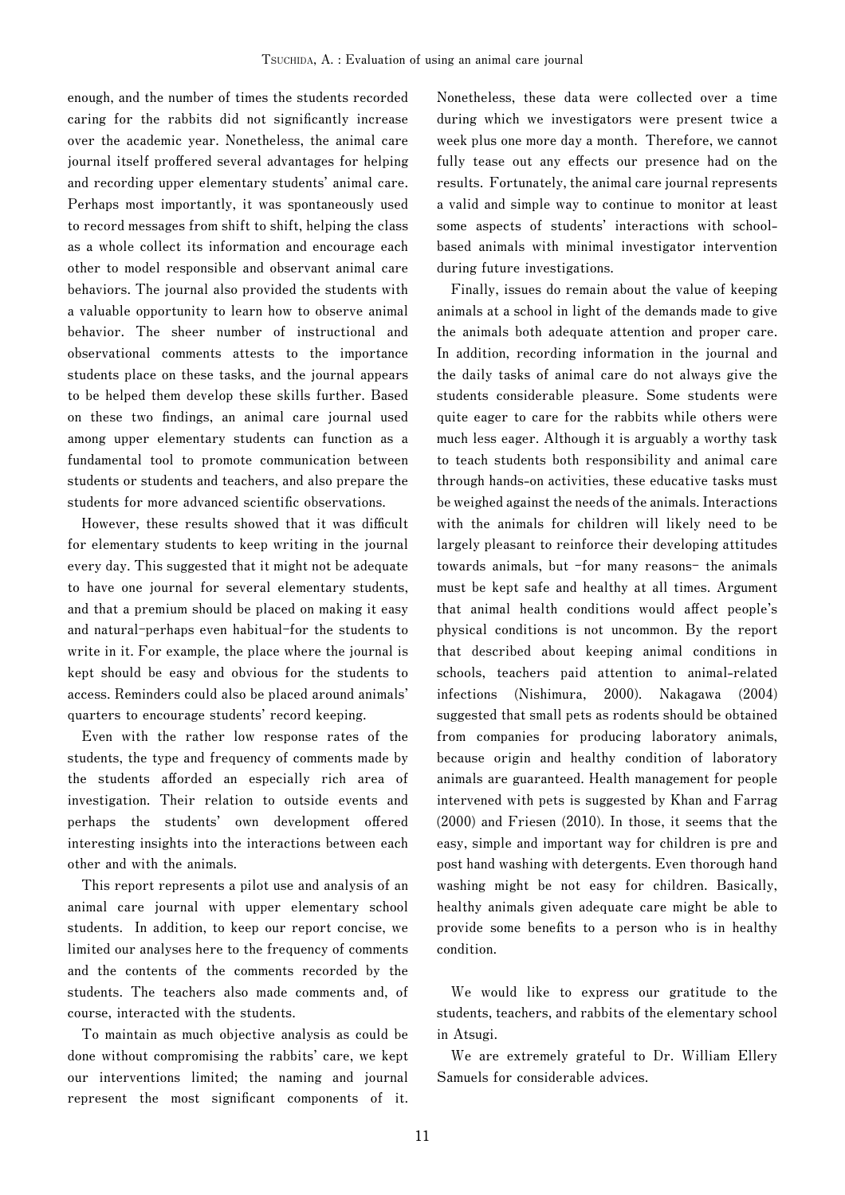**enough, and the number of times the students recorded**  caring for the rabbits did not significantly increase **over the academic year. Nonetheless, the animal care**  journal itself proffered several advantages for helping **and recording upper elementary students' animal care. Perhaps most importantly, it was spontaneously used to record messages from shift to shift, helping the class as a whole collect its information and encourage each other to model responsible and observant animal care behaviors. The journal also provided the students with a valuable opportunity to learn how to observe animal behavior. The sheer number of instructional and observational comments attests to the importance students place on these tasks, and the journal appears to be helped them develop these skills further. Based**  on these two findings, an animal care journal used **among upper elementary students can function as a fundamental tool to promote communication between students or students and teachers, and also prepare the**  students for more advanced scientific observations.

However, these results showed that it was difficult **for elementary students to keep writing in the journal every day. This suggested that it might not be adequate to have one journal for several elementary students, and that a premium should be placed on making it easy and natural-perhaps even habitual-for the students to write in it. For example, the place where the journal is kept should be easy and obvious for the students to access. Reminders could also be placed around animals' quarters to encourage students' record keeping.**

**Even with the rather low response rates of the students, the type and frequency of comments made by the students aff orded an especially rich area of investigation. Their relation to outside events and**  perhaps the students' own development offered **interesting insights into the interactions between each other and with the animals.**

**This report represents a pilot use and analysis of an animal care journal with upper elementary school students. In addition, to keep our report concise, we limited our analyses here to the frequency of comments and the contents of the comments recorded by the students. The teachers also made comments and, of course, interacted with the students.**

**To maintain as much objective analysis as could be done without compromising the rabbits' care, we kept our interventions limited; the naming and journal**  represent the most significant components of it. **Nonetheless, these data were collected over a time during which we investigators were present twice a week plus one more day a month. Therefore, we cannot**  fully tease out any effects our presence had on the **results. Fortunately, the animal care journal represents a valid and simple way to continue to monitor at least some aspects of students' interactions with schoolbased animals with minimal investigator intervention during future investigations.**

**Finally, issues do remain about the value of keeping animals at a school in light of the demands made to give the animals both adequate attention and proper care. In addition, recording information in the journal and the daily tasks of animal care do not always give the students considerable pleasure. Some students were quite eager to care for the rabbits while others were much less eager. Although it is arguably a worthy task to teach students both responsibility and animal care through hands-on activities, these educative tasks must be weighed against the needs of the animals. Interactions with the animals for children will likely need to be largely pleasant to reinforce their developing attitudes towards animals, but -for many reasons- the animals must be kept safe and healthy at all times. Argument**  that animal health conditions would affect people's **physical conditions is not uncommon. By the report that described about keeping animal conditions in schools, teachers paid attention to animal-related infections (Nishimura, 2000). Nakagawa (2004) suggested that small pets as rodents should be obtained from companies for producing laboratory animals, because origin and healthy condition of laboratory animals are guaranteed. Health management for people intervened with pets is suggested by Khan and Farrag (2000) and Friesen (2010). In those, it seems that the easy, simple and important way for children is pre and post hand washing with detergents. Even thorough hand washing might be not easy for children. Basically, healthy animals given adequate care might be able to**  provide some benefits to a person who is in healthy **condition.** 

**We would like to express our gratitude to the students, teachers, and rabbits of the elementary school in Atsugi.**

**We are extremely grateful to Dr. William Ellery Samuels for considerable advices.**